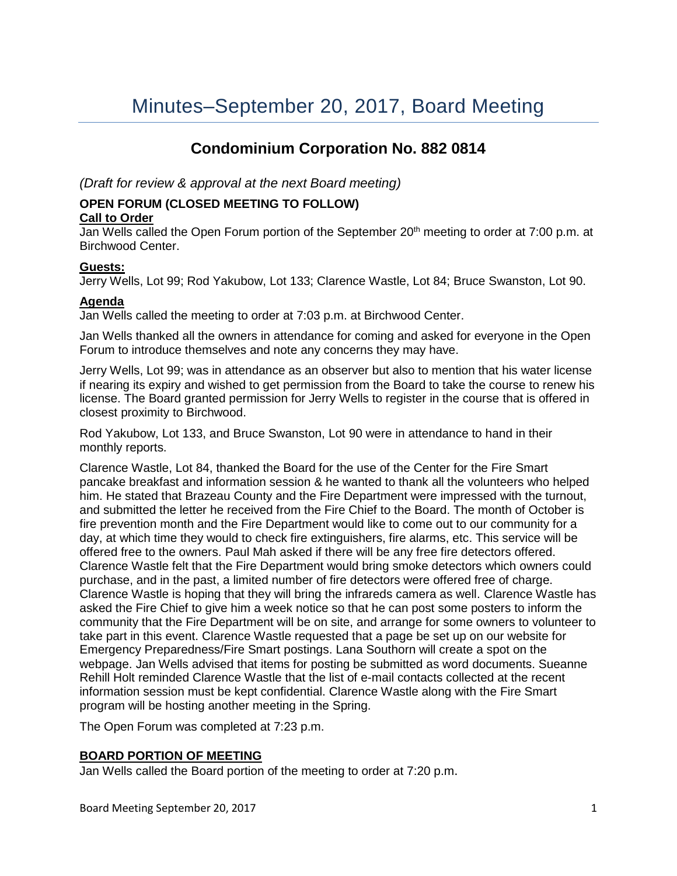# **Condominium Corporation No. 882 0814**

*(Draft for review & approval at the next Board meeting)*

# **OPEN FORUM (CLOSED MEETING TO FOLLOW)**

# **Call to Order**

Jan Wells called the Open Forum portion of the September 20<sup>th</sup> meeting to order at 7:00 p.m. at Birchwood Center.

# **Guests:**

Jerry Wells, Lot 99; Rod Yakubow, Lot 133; Clarence Wastle, Lot 84; Bruce Swanston, Lot 90.

# **Agenda**

Jan Wells called the meeting to order at 7:03 p.m. at Birchwood Center.

Jan Wells thanked all the owners in attendance for coming and asked for everyone in the Open Forum to introduce themselves and note any concerns they may have.

Jerry Wells, Lot 99; was in attendance as an observer but also to mention that his water license if nearing its expiry and wished to get permission from the Board to take the course to renew his license. The Board granted permission for Jerry Wells to register in the course that is offered in closest proximity to Birchwood.

Rod Yakubow, Lot 133, and Bruce Swanston, Lot 90 were in attendance to hand in their monthly reports.

Clarence Wastle, Lot 84, thanked the Board for the use of the Center for the Fire Smart pancake breakfast and information session & he wanted to thank all the volunteers who helped him. He stated that Brazeau County and the Fire Department were impressed with the turnout, and submitted the letter he received from the Fire Chief to the Board. The month of October is fire prevention month and the Fire Department would like to come out to our community for a day, at which time they would to check fire extinguishers, fire alarms, etc. This service will be offered free to the owners. Paul Mah asked if there will be any free fire detectors offered. Clarence Wastle felt that the Fire Department would bring smoke detectors which owners could purchase, and in the past, a limited number of fire detectors were offered free of charge. Clarence Wastle is hoping that they will bring the infrareds camera as well. Clarence Wastle has asked the Fire Chief to give him a week notice so that he can post some posters to inform the community that the Fire Department will be on site, and arrange for some owners to volunteer to take part in this event. Clarence Wastle requested that a page be set up on our website for Emergency Preparedness/Fire Smart postings. Lana Southorn will create a spot on the webpage. Jan Wells advised that items for posting be submitted as word documents. Sueanne Rehill Holt reminded Clarence Wastle that the list of e-mail contacts collected at the recent information session must be kept confidential. Clarence Wastle along with the Fire Smart program will be hosting another meeting in the Spring.

The Open Forum was completed at 7:23 p.m.

# **BOARD PORTION OF MEETING**

Jan Wells called the Board portion of the meeting to order at 7:20 p.m.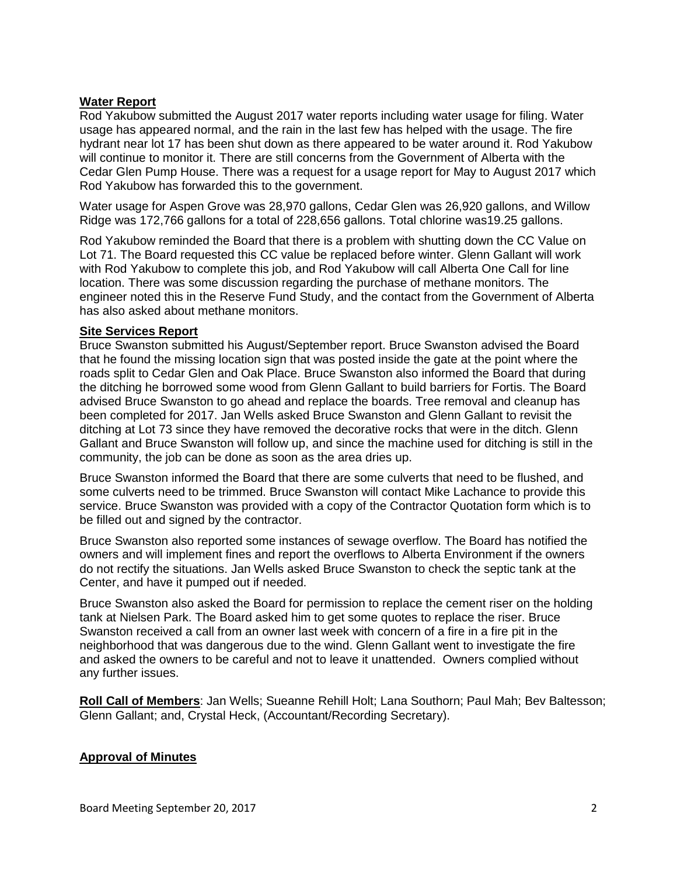# **Water Report**

Rod Yakubow submitted the August 2017 water reports including water usage for filing. Water usage has appeared normal, and the rain in the last few has helped with the usage. The fire hydrant near lot 17 has been shut down as there appeared to be water around it. Rod Yakubow will continue to monitor it. There are still concerns from the Government of Alberta with the Cedar Glen Pump House. There was a request for a usage report for May to August 2017 which Rod Yakubow has forwarded this to the government.

Water usage for Aspen Grove was 28,970 gallons, Cedar Glen was 26,920 gallons, and Willow Ridge was 172,766 gallons for a total of 228,656 gallons. Total chlorine was19.25 gallons.

Rod Yakubow reminded the Board that there is a problem with shutting down the CC Value on Lot 71. The Board requested this CC value be replaced before winter. Glenn Gallant will work with Rod Yakubow to complete this job, and Rod Yakubow will call Alberta One Call for line location. There was some discussion regarding the purchase of methane monitors. The engineer noted this in the Reserve Fund Study, and the contact from the Government of Alberta has also asked about methane monitors.

### **Site Services Report**

Bruce Swanston submitted his August/September report. Bruce Swanston advised the Board that he found the missing location sign that was posted inside the gate at the point where the roads split to Cedar Glen and Oak Place. Bruce Swanston also informed the Board that during the ditching he borrowed some wood from Glenn Gallant to build barriers for Fortis. The Board advised Bruce Swanston to go ahead and replace the boards. Tree removal and cleanup has been completed for 2017. Jan Wells asked Bruce Swanston and Glenn Gallant to revisit the ditching at Lot 73 since they have removed the decorative rocks that were in the ditch. Glenn Gallant and Bruce Swanston will follow up, and since the machine used for ditching is still in the community, the job can be done as soon as the area dries up.

Bruce Swanston informed the Board that there are some culverts that need to be flushed, and some culverts need to be trimmed. Bruce Swanston will contact Mike Lachance to provide this service. Bruce Swanston was provided with a copy of the Contractor Quotation form which is to be filled out and signed by the contractor.

Bruce Swanston also reported some instances of sewage overflow. The Board has notified the owners and will implement fines and report the overflows to Alberta Environment if the owners do not rectify the situations. Jan Wells asked Bruce Swanston to check the septic tank at the Center, and have it pumped out if needed.

Bruce Swanston also asked the Board for permission to replace the cement riser on the holding tank at Nielsen Park. The Board asked him to get some quotes to replace the riser. Bruce Swanston received a call from an owner last week with concern of a fire in a fire pit in the neighborhood that was dangerous due to the wind. Glenn Gallant went to investigate the fire and asked the owners to be careful and not to leave it unattended. Owners complied without any further issues.

**Roll Call of Members**: Jan Wells; Sueanne Rehill Holt; Lana Southorn; Paul Mah; Bev Baltesson; Glenn Gallant; and, Crystal Heck, (Accountant/Recording Secretary).

### **Approval of Minutes**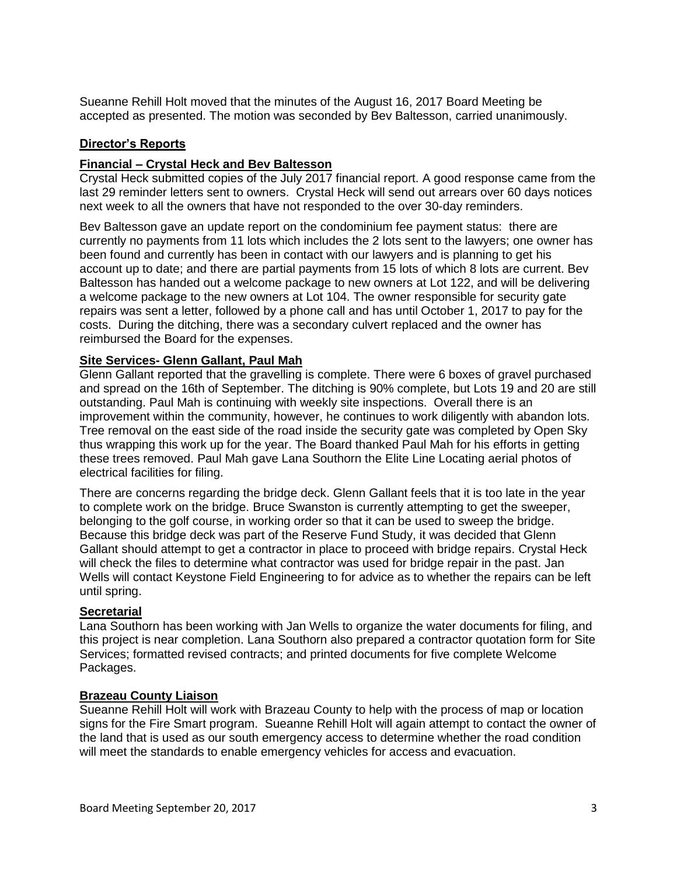Sueanne Rehill Holt moved that the minutes of the August 16, 2017 Board Meeting be accepted as presented. The motion was seconded by Bev Baltesson, carried unanimously.

# **Director's Reports**

## **Financial – Crystal Heck and Bev Baltesson**

Crystal Heck submitted copies of the July 2017 financial report. A good response came from the last 29 reminder letters sent to owners. Crystal Heck will send out arrears over 60 days notices next week to all the owners that have not responded to the over 30-day reminders.

Bev Baltesson gave an update report on the condominium fee payment status: there are currently no payments from 11 lots which includes the 2 lots sent to the lawyers; one owner has been found and currently has been in contact with our lawyers and is planning to get his account up to date; and there are partial payments from 15 lots of which 8 lots are current. Bev Baltesson has handed out a welcome package to new owners at Lot 122, and will be delivering a welcome package to the new owners at Lot 104. The owner responsible for security gate repairs was sent a letter, followed by a phone call and has until October 1, 2017 to pay for the costs. During the ditching, there was a secondary culvert replaced and the owner has reimbursed the Board for the expenses.

# **Site Services- Glenn Gallant, Paul Mah**

Glenn Gallant reported that the gravelling is complete. There were 6 boxes of gravel purchased and spread on the 16th of September. The ditching is 90% complete, but Lots 19 and 20 are still outstanding. Paul Mah is continuing with weekly site inspections. Overall there is an improvement within the community, however, he continues to work diligently with abandon lots. Tree removal on the east side of the road inside the security gate was completed by Open Sky thus wrapping this work up for the year. The Board thanked Paul Mah for his efforts in getting these trees removed. Paul Mah gave Lana Southorn the Elite Line Locating aerial photos of electrical facilities for filing.

There are concerns regarding the bridge deck. Glenn Gallant feels that it is too late in the year to complete work on the bridge. Bruce Swanston is currently attempting to get the sweeper, belonging to the golf course, in working order so that it can be used to sweep the bridge. Because this bridge deck was part of the Reserve Fund Study, it was decided that Glenn Gallant should attempt to get a contractor in place to proceed with bridge repairs. Crystal Heck will check the files to determine what contractor was used for bridge repair in the past. Jan Wells will contact Keystone Field Engineering to for advice as to whether the repairs can be left until spring.

### **Secretarial**

Lana Southorn has been working with Jan Wells to organize the water documents for filing, and this project is near completion. Lana Southorn also prepared a contractor quotation form for Site Services; formatted revised contracts; and printed documents for five complete Welcome Packages.

### **Brazeau County Liaison**

Sueanne Rehill Holt will work with Brazeau County to help with the process of map or location signs for the Fire Smart program. Sueanne Rehill Holt will again attempt to contact the owner of the land that is used as our south emergency access to determine whether the road condition will meet the standards to enable emergency vehicles for access and evacuation.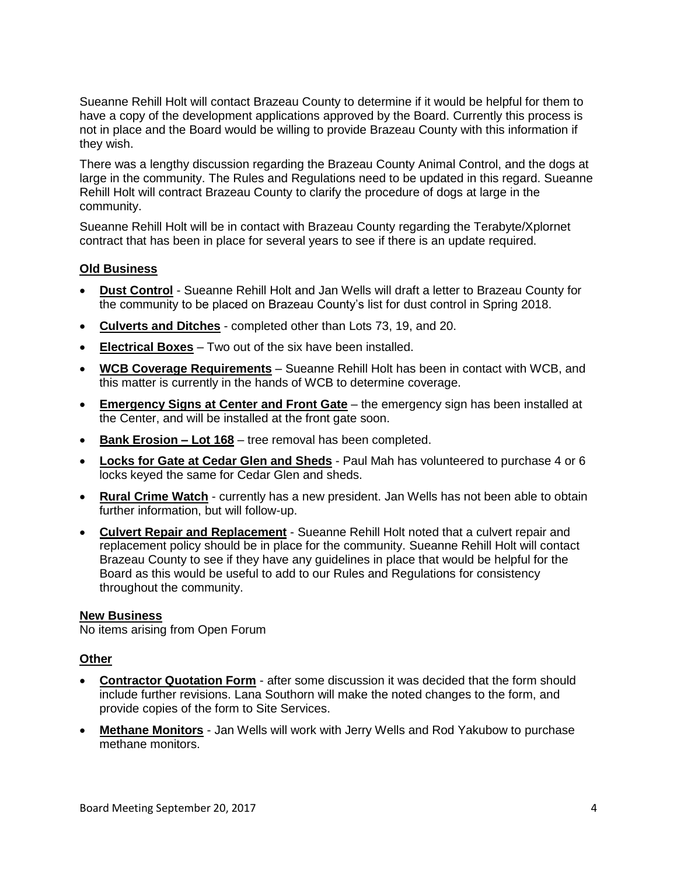Sueanne Rehill Holt will contact Brazeau County to determine if it would be helpful for them to have a copy of the development applications approved by the Board. Currently this process is not in place and the Board would be willing to provide Brazeau County with this information if they wish.

There was a lengthy discussion regarding the Brazeau County Animal Control, and the dogs at large in the community. The Rules and Regulations need to be updated in this regard. Sueanne Rehill Holt will contract Brazeau County to clarify the procedure of dogs at large in the community.

Sueanne Rehill Holt will be in contact with Brazeau County regarding the Terabyte/Xplornet contract that has been in place for several years to see if there is an update required.

## **Old Business**

- **Dust Control** Sueanne Rehill Holt and Jan Wells will draft a letter to Brazeau County for the community to be placed on Brazeau County's list for dust control in Spring 2018.
- **Culverts and Ditches** completed other than Lots 73, 19, and 20.
- **Electrical Boxes** Two out of the six have been installed.
- **WCB Coverage Requirements** Sueanne Rehill Holt has been in contact with WCB, and this matter is currently in the hands of WCB to determine coverage.
- **Emergency Signs at Center and Front Gate** the emergency sign has been installed at the Center, and will be installed at the front gate soon.
- **Bank Erosion – Lot 168** tree removal has been completed.
- **Locks for Gate at Cedar Glen and Sheds** Paul Mah has volunteered to purchase 4 or 6 locks keyed the same for Cedar Glen and sheds.
- **Rural Crime Watch** currently has a new president. Jan Wells has not been able to obtain further information, but will follow-up.
- **Culvert Repair and Replacement** Sueanne Rehill Holt noted that a culvert repair and replacement policy should be in place for the community. Sueanne Rehill Holt will contact Brazeau County to see if they have any guidelines in place that would be helpful for the Board as this would be useful to add to our Rules and Regulations for consistency throughout the community.

### **New Business**

No items arising from Open Forum

### **Other**

- **Contractor Quotation Form** after some discussion it was decided that the form should include further revisions. Lana Southorn will make the noted changes to the form, and provide copies of the form to Site Services.
- **Methane Monitors** Jan Wells will work with Jerry Wells and Rod Yakubow to purchase methane monitors.